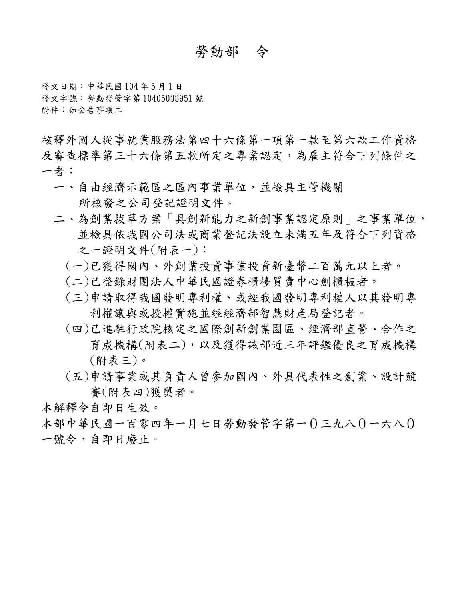# 勞動部 令

發文日期:中華民國 104 年 5 月 1 日 發文字號:勞動發管字第 10405033951 號 附件:如公告事項二

核釋外國人從事就業服務法第四十六條第一項第一款至第六款工作資格 及審查標準第三十六條第五款所定之專案認定,為雇主符合下列條件之 一者:一、自由經濟示範區之區內事業單位,並檢具主管機關

- 所核發之公司登記證明文件。
- 二、為創業拔萃方案「具創新能力之新創事業認定原則」之事業單位, 並檢具依我國公司法或商業登記法設立未滿五年及符合下列資格 之一證明文件(附表一):
	- (一)已獲得國內、外創業投資事業投資新臺幣二百萬元以上者。
	- (二)已登錄財團法人中華民國證券櫃檯買賣中心創櫃板者。
	- (三)申請取得我國發明專利權、或經我國發明專利權人以其發明專 利權讓與或授權實施並經經濟部智慧財產局登記者。
	- (四)已進駐行政院核定之國際創新創業園區、經濟部直營、合作之 育成機構(附表二),以及獲得該部近三年評鑑優良之育成機構 (附表三)。
	- (五)申請事業或其負責人曾參加國內、外具代表性之創業、設計競 賽(附表四)獲獎者。

本解釋令自即日生效。

本部中華民國一百零四年一月七日勞動發管字第一0三九八0一六八0 一號令,自即日廢止。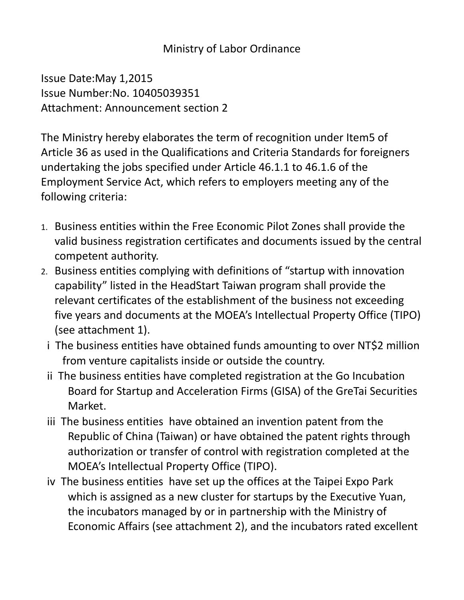# Ministry of Labor Ordinance

Issue Date:May 1,2015 Issue Number:No. 10405039351 Attachment: Announcement section 2

The Ministry hereby elaborates the term of recognition under Item5 of Article 36 as used in the Qualifications and Criteria Standards for foreigners undertaking the jobs specified under Article 46.1.1 to 46.1.6 of the Employment Service Act, which refers to employers meeting any of the following criteria:

- 1. Business entities within the Free Economic Pilot Zones shall provide the valid business registration certificates and documents issued by the central competent authority.
- 2. Business entities complying with definitions of "startup with innovation capability" listed in the HeadStart Taiwan program shall provide the relevant certificates of the establishment of the business not exceeding five years and documents at the MOEA's Intellectual Property Office (TIPO) (see attachment 1).
	- i The business entities have obtained funds amounting to over NT\$2 million from venture capitalists inside or outside the country.
	- ii The business entities have completed registration at the Go Incubation Board for Startup and Acceleration Firms (GISA) of the GreTai Securities Market.
	- iii The business entities have obtained an invention patent from the Republic of China (Taiwan) or have obtained the patent rights through authorization or transfer of control with registration completed at the MOEA's Intellectual Property Office (TIPO).
	- iv The business entities have set up the offices at the Taipei Expo Park which is assigned as a new cluster for startups by the Executive Yuan, the incubators managed by or in partnership with the Ministry of Economic Affairs (see attachment 2), and the incubators rated excellent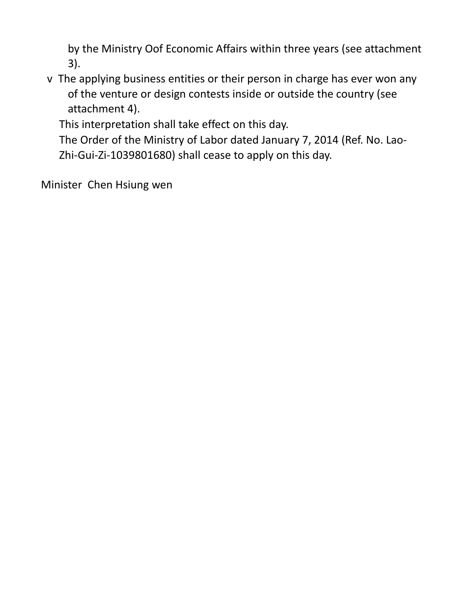by the Ministry Oof Economic Affairs within three years (see attachment 3).

v The applying business entities or their person in charge has ever won any of the venture or design contests inside or outside the country (see attachment 4).

This interpretation shall take effect on this day.

 The Order of the Ministry of Labor dated January 7, 2014 (Ref. No. Lao-Zhi-Gui-Zi-1039801680) shall cease to apply on this day.

Minister Chen Hsiung wen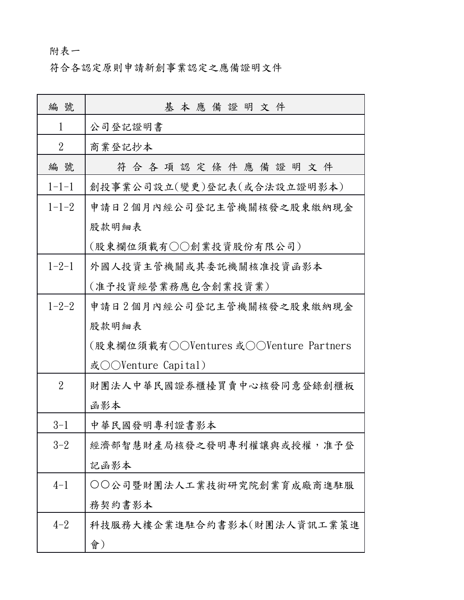# 附表一

符合各認定原則申請新創事業認定之應備證明文件

| 編 號            | 基本應備證明文件                                                |
|----------------|---------------------------------------------------------|
| 1              | 公司登記證明書                                                 |
| $\overline{2}$ | 商業登記抄本                                                  |
| 編號             | 符合各項認定條件應備證明文件                                          |
| $1 - 1 - 1$    | 創投事業公司設立(變更)登記表(或合法設立證明影本)                              |
| $1 - 1 - 2$    | 申請日2個月內經公司登記主管機關核發之股東繳納現金                               |
|                | 股款明細表<br>(股東欄位須載有○○創業投資股份有限公司)                          |
| $1 - 2 - 1$    | 外國人投資主管機關或其委託機關核准投資函影本<br>(准予投資經營業務應包含創業投資業)            |
| $1 - 2 - 2$    | 申請日2個月內經公司登記主管機關核發之股東繳納現金                               |
|                | 股款明細表                                                   |
|                | (股東欄位須載有○○Ventures 或○○Venture Partners                  |
| $\overline{2}$ | 或○○Venture Capital)<br>財團法人中華民國證券櫃檯買賣中心核發同意登錄創櫃板<br>函影本 |
| $3 - 1$        | 中華民國發明專利證書影本                                            |
| $3 - 2$        | 經濟部智慧財產局核發之發明專利權讓與或授權,准予登                               |
|                | 記函影本                                                    |
| $4 - 1$        | ○○公司暨財團法人工業技術研究院創業育成廠商進駐服                               |
|                | 務契約書影本                                                  |
| $4 - 2$        | 科技服務大樓企業進駐合約書影本(財團法人資訊工業策進                              |
|                | 會)                                                      |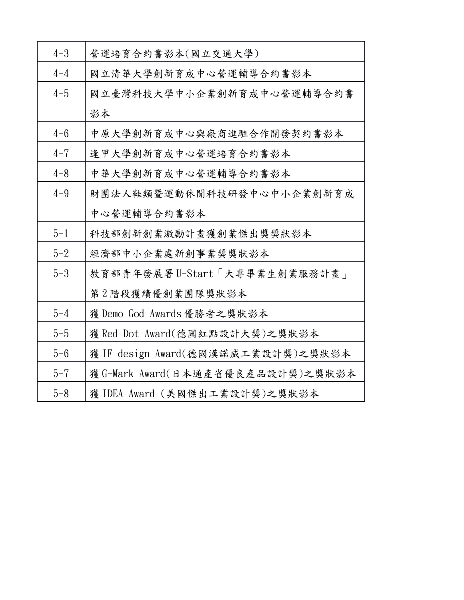| $4 - 3$ | 營運培育合約書影本(國立交通大學)                  |
|---------|------------------------------------|
| $4 - 4$ | 國立清華大學創新育成中心營運輔導合約書影本              |
| $4 - 5$ | 國立臺灣科技大學中小企業創新育成中心營運輔導合約書          |
|         | 影本                                 |
| $4 - 6$ | 中原大學創新育成中心與廠商進駐合作開發契約書影本           |
| $4 - 7$ | 逢甲大學創新育成中心營運培育合約書影本                |
| $4 - 8$ | 中華大學創新育成中心營運輔導合約書影本                |
| $4 - 9$ | 財團法人鞋類暨運動休閒科技研發中心中小企業創新育成          |
|         | 中心營運輔導合約書影本                        |
|         |                                    |
| $5 - 1$ | 科技部創新創業激勵計畫獲創業傑出獎獎狀影本              |
| $5 - 2$ | 經濟部中小企業處新創事業獎獎狀影本                  |
| $5 - 3$ | 教育部青年發展署U-Start「大專畢業生創業服務計書」       |
|         | 第2階段獲績優創業團隊獎狀影本                    |
| $5 - 4$ | 獲 Demo God Awards 優勝者之獎狀影本         |
| $5 - 5$ | 獲 Red Dot Award(德國紅點設計大獎)之獎狀影本     |
| $5 - 6$ | 獲 IF design Award(德國漢諾威工業設計獎)之獎狀影本 |
| $5 - 7$ | 獲 G-Mark Award(日本通產省優良產品設計獎)之獎狀影本  |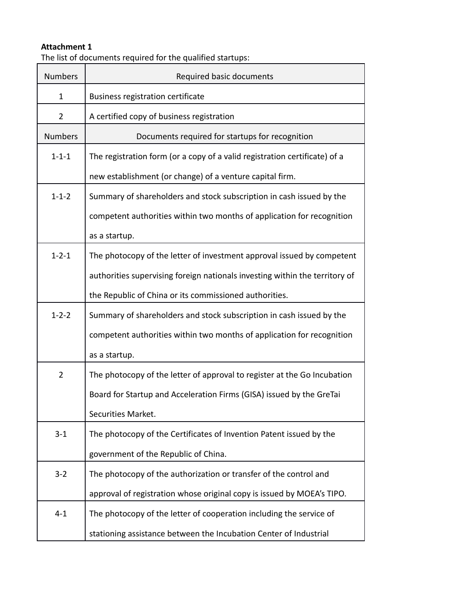The list of documents required for the qualified startups:

| <b>Numbers</b> | Required basic documents                                                    |
|----------------|-----------------------------------------------------------------------------|
| $\mathbf{1}$   | <b>Business registration certificate</b>                                    |
| $\overline{2}$ | A certified copy of business registration                                   |
| <b>Numbers</b> | Documents required for startups for recognition                             |
| $1 - 1 - 1$    | The registration form (or a copy of a valid registration certificate) of a  |
|                | new establishment (or change) of a venture capital firm.                    |
| $1 - 1 - 2$    | Summary of shareholders and stock subscription in cash issued by the        |
|                | competent authorities within two months of application for recognition      |
|                | as a startup.                                                               |
| $1 - 2 - 1$    | The photocopy of the letter of investment approval issued by competent      |
|                | authorities supervising foreign nationals investing within the territory of |
|                | the Republic of China or its commissioned authorities.                      |
| $1 - 2 - 2$    | Summary of shareholders and stock subscription in cash issued by the        |
|                | competent authorities within two months of application for recognition      |
|                | as a startup.                                                               |
| $\overline{2}$ | The photocopy of the letter of approval to register at the Go Incubation    |
|                | Board for Startup and Acceleration Firms (GISA) issued by the GreTai        |
|                | Securities Market.                                                          |
| $3 - 1$        | The photocopy of the Certificates of Invention Patent issued by the         |
|                | government of the Republic of China.                                        |
| $3 - 2$        | The photocopy of the authorization or transfer of the control and           |
|                | approval of registration whose original copy is issued by MOEA's TIPO.      |
| $4 - 1$        | The photocopy of the letter of cooperation including the service of         |
|                | stationing assistance between the Incubation Center of Industrial           |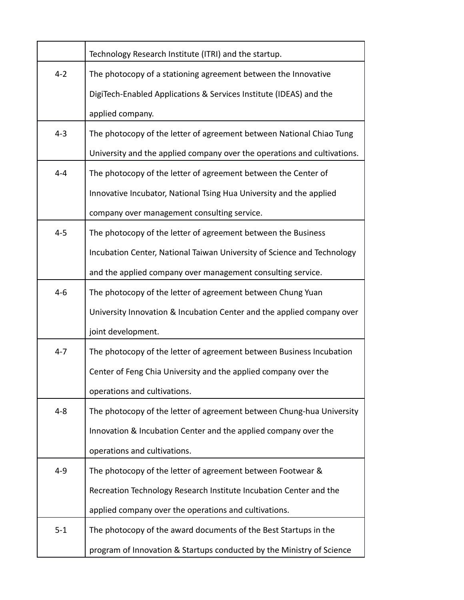|         | Technology Research Institute (ITRI) and the startup.                    |
|---------|--------------------------------------------------------------------------|
| $4 - 2$ | The photocopy of a stationing agreement between the Innovative           |
|         | DigiTech-Enabled Applications & Services Institute (IDEAS) and the       |
|         | applied company.                                                         |
| $4-3$   | The photocopy of the letter of agreement between National Chiao Tung     |
|         | University and the applied company over the operations and cultivations. |
| $4 - 4$ | The photocopy of the letter of agreement between the Center of           |
|         | Innovative Incubator, National Tsing Hua University and the applied      |
|         | company over management consulting service.                              |
| $4 - 5$ | The photocopy of the letter of agreement between the Business            |
|         | Incubation Center, National Taiwan University of Science and Technology  |
|         | and the applied company over management consulting service.              |
| $4 - 6$ | The photocopy of the letter of agreement between Chung Yuan              |
|         | University Innovation & Incubation Center and the applied company over   |
|         | joint development.                                                       |
| $4 - 7$ | The photocopy of the letter of agreement between Business Incubation     |
|         | Center of Feng Chia University and the applied company over the          |
|         | operations and cultivations.                                             |
| $4 - 8$ | The photocopy of the letter of agreement between Chung-hua University    |
|         | Innovation & Incubation Center and the applied company over the          |
|         | operations and cultivations.                                             |
| $4 - 9$ | The photocopy of the letter of agreement between Footwear &              |
|         | Recreation Technology Research Institute Incubation Center and the       |
|         | applied company over the operations and cultivations.                    |
| $5 - 1$ | The photocopy of the award documents of the Best Startups in the         |
|         | program of Innovation & Startups conducted by the Ministry of Science    |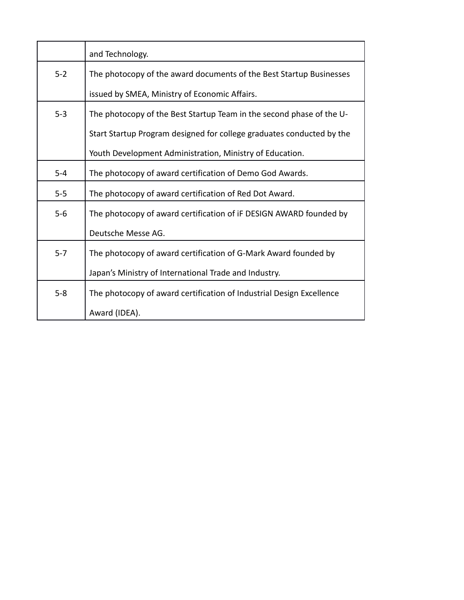|         | and Technology.                                                       |
|---------|-----------------------------------------------------------------------|
| $5 - 2$ | The photocopy of the award documents of the Best Startup Businesses   |
|         | issued by SMEA, Ministry of Economic Affairs.                         |
| $5 - 3$ | The photocopy of the Best Startup Team in the second phase of the U-  |
|         | Start Startup Program designed for college graduates conducted by the |
|         | Youth Development Administration, Ministry of Education.              |
| $5-4$   | The photocopy of award certification of Demo God Awards.              |
| $5 - 5$ | The photocopy of award certification of Red Dot Award.                |
| $5-6$   | The photocopy of award certification of iF DESIGN AWARD founded by    |
|         | Deutsche Messe AG.                                                    |
| $5 - 7$ | The photocopy of award certification of G-Mark Award founded by       |
|         | Japan's Ministry of International Trade and Industry.                 |
| $5 - 8$ | The photocopy of award certification of Industrial Design Excellence  |
|         | Award (IDEA).                                                         |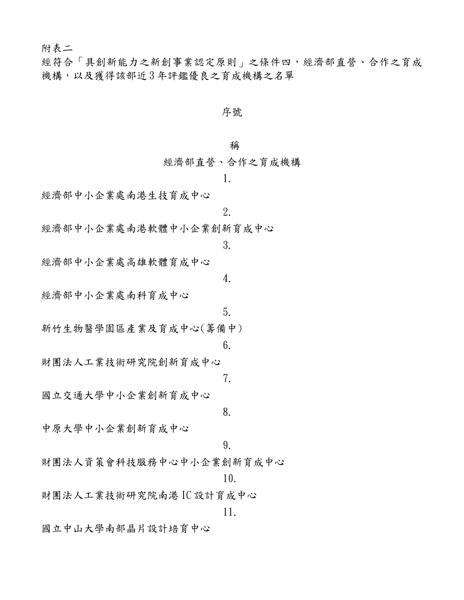附表二

經符合「具創新能力之新創事業認定原則」之條件四,經濟部直營、合作之育成 機構,以及獲得該部近 3 年評鑑優良之育成機構之名單

#### 序號

#### 稱

經濟部直營、合作之育成機構

1.

經濟部中小企業處南港生技育成中心

2.

經濟部中小企業處南港軟體中小企業創新育成中心

3.

4.

5.

經濟部中小企業處高雄軟體育成中心

經濟部中小企業處南科育成中心

新竹生物醫學園區產業及育成中心(籌備中)

6.

7.

財團法人工業技術研究院創新育成中心

國立交通大學中小企業創新育成中心

8.

中原大學中小企業創新育成中心

9.

財團法人資策會科技服務中心中小企業創新育成中心

10.

財團法人工業技術研究院南港 IC 設計育成中心

11.

國立中山大學南部晶片設計培育中心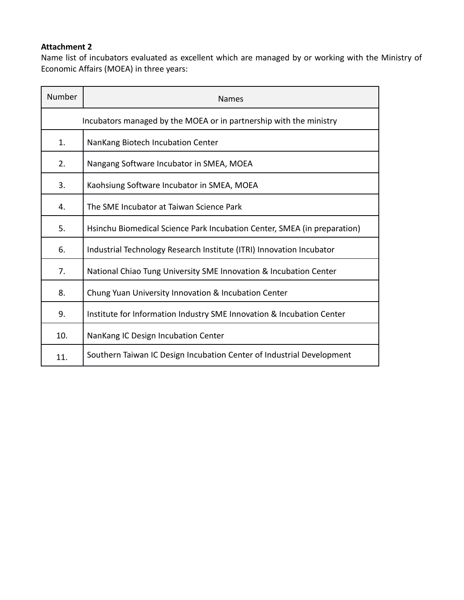Name list of incubators evaluated as excellent which are managed by or working with the Ministry of Economic Affairs (MOEA) in three years:

| Number | <b>Names</b>                                                             |  |
|--------|--------------------------------------------------------------------------|--|
|        | Incubators managed by the MOEA or in partnership with the ministry       |  |
| 1.     | NanKang Biotech Incubation Center                                        |  |
| 2.     | Nangang Software Incubator in SMEA, MOEA                                 |  |
| 3.     | Kaohsiung Software Incubator in SMEA, MOEA                               |  |
| 4.     | The SME Incubator at Taiwan Science Park                                 |  |
| 5.     | Hsinchu Biomedical Science Park Incubation Center, SMEA (in preparation) |  |
| 6.     | Industrial Technology Research Institute (ITRI) Innovation Incubator     |  |
| 7.     | National Chiao Tung University SME Innovation & Incubation Center        |  |
| 8.     | Chung Yuan University Innovation & Incubation Center                     |  |
| 9.     | Institute for Information Industry SME Innovation & Incubation Center    |  |
| 10.    | NanKang IC Design Incubation Center                                      |  |
| 11.    | Southern Taiwan IC Design Incubation Center of Industrial Development    |  |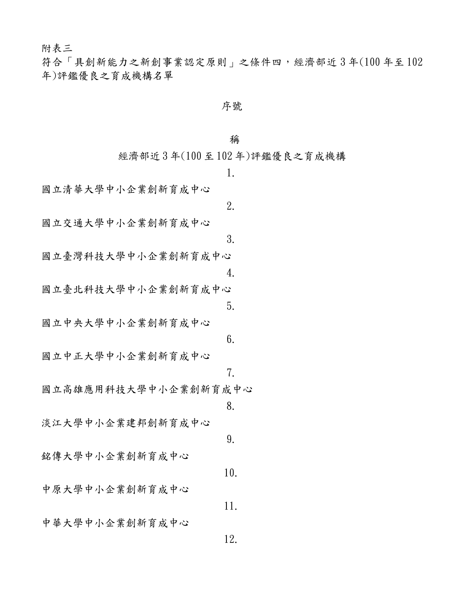附表三

符合「具創新能力之新創事業認定原則」之條件四,經濟部近 3 年(100 年至 102 年)評鑑優良之育成機構名單

### 序號

### 稱

經濟部近 3 年(100 至 102 年)評鑑優良之育成機構

|                      | 1.  |
|----------------------|-----|
| 國立清華大學中小企業創新育成中心     |     |
|                      | 2.  |
| 國立交通大學中小企業創新育成中心     |     |
|                      | 3.  |
| 國立臺灣科技大學中小企業創新育成中心   |     |
|                      | 4.  |
| 國立臺北科技大學中小企業創新育成中心   |     |
| 國立中央大學中小企業創新育成中心     | 5.  |
|                      | 6.  |
| 國立中正大學中小企業創新育成中心     |     |
|                      | 7.  |
| 國立高雄應用科技大學中小企業創新育成中心 |     |
|                      | 8.  |
| 淡江大學中小企業建邦創新育成中心     |     |
|                      | 9.  |
| 銘傳大學中小企業創新育成中心       |     |
|                      | 10. |
| 中原大學中小企業創新育成中心       |     |
|                      | 11. |
| 中華大學中小企業創新育成中心       |     |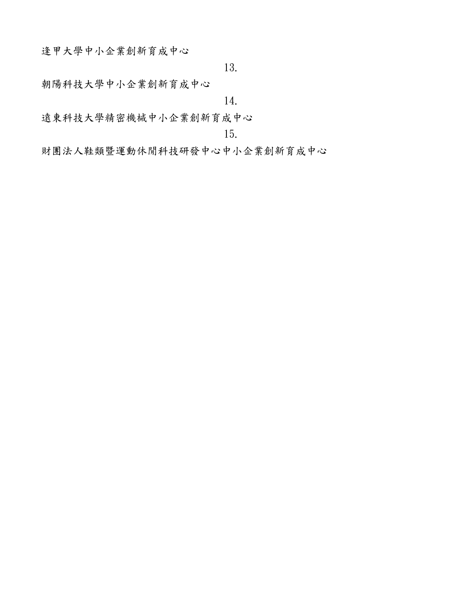逢甲大學中小企業創新育成中心

13.

朝陽科技大學中小企業創新育成中心

14.

遠東科技大學精密機械中小企業創新育成中心

15.

財團法人鞋類暨運動休閒科技研發中心中小企業創新育成中心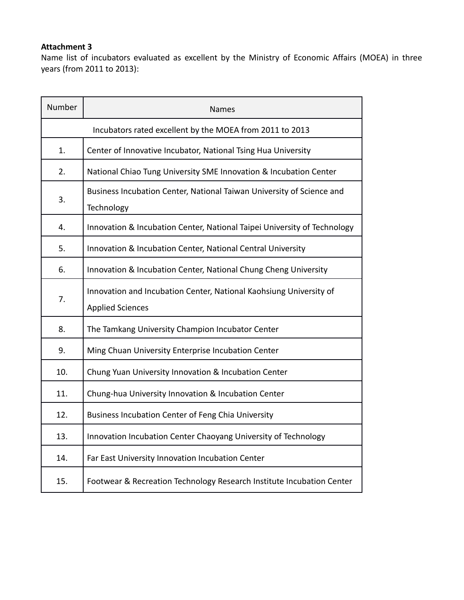Name list of incubators evaluated as excellent by the Ministry of Economic Affairs (MOEA) in three years (from 2011 to 2013):

| Number         | Names                                                                                         |
|----------------|-----------------------------------------------------------------------------------------------|
|                | Incubators rated excellent by the MOEA from 2011 to 2013                                      |
| $\mathbf{1}$ . | Center of Innovative Incubator, National Tsing Hua University                                 |
| 2.             | National Chiao Tung University SME Innovation & Incubation Center                             |
| 3.             | Business Incubation Center, National Taiwan University of Science and<br>Technology           |
| 4.             | Innovation & Incubation Center, National Taipei University of Technology                      |
| 5.             | Innovation & Incubation Center, National Central University                                   |
| 6.             | Innovation & Incubation Center, National Chung Cheng University                               |
| 7.             | Innovation and Incubation Center, National Kaohsiung University of<br><b>Applied Sciences</b> |
| 8.             | The Tamkang University Champion Incubator Center                                              |
| 9.             | Ming Chuan University Enterprise Incubation Center                                            |
| 10.            | Chung Yuan University Innovation & Incubation Center                                          |
| 11.            | Chung-hua University Innovation & Incubation Center                                           |
| 12.            | <b>Business Incubation Center of Feng Chia University</b>                                     |
| 13.            | Innovation Incubation Center Chaoyang University of Technology                                |
| 14.            | Far East University Innovation Incubation Center                                              |
| 15.            | Footwear & Recreation Technology Research Institute Incubation Center                         |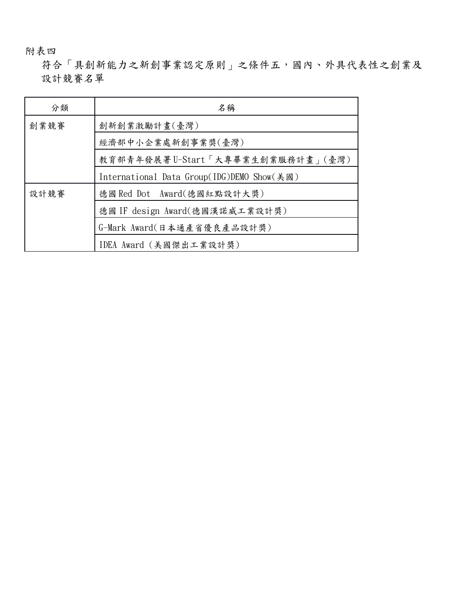附表四<br>符合「具創新能力之新創事業認定原則」之條件五,國內、外具代表性之創業及 設計競賽名單

| 分類   | 名稱                                         |
|------|--------------------------------------------|
| 創業競賽 | 創新創業激勵計畫(臺灣)                               |
|      | 經濟部中小企業處新創事業獎(臺灣)                          |
|      | 教育部青年發展署U-Start「大專畢業生創業服務計畫」(臺灣)           |
|      | International Data Group(IDG)DEMO Show(美國) |
| 設計競賽 | 德國 Red Dot Award(德國紅點設計大獎)                 |
|      | 德國 IF design Award(德國漢諾威工業設計獎)             |
|      | G-Mark Award(日本通產省優良產品設計獎)                 |
|      | IDEA Award (美國傑出工業設計獎)                     |